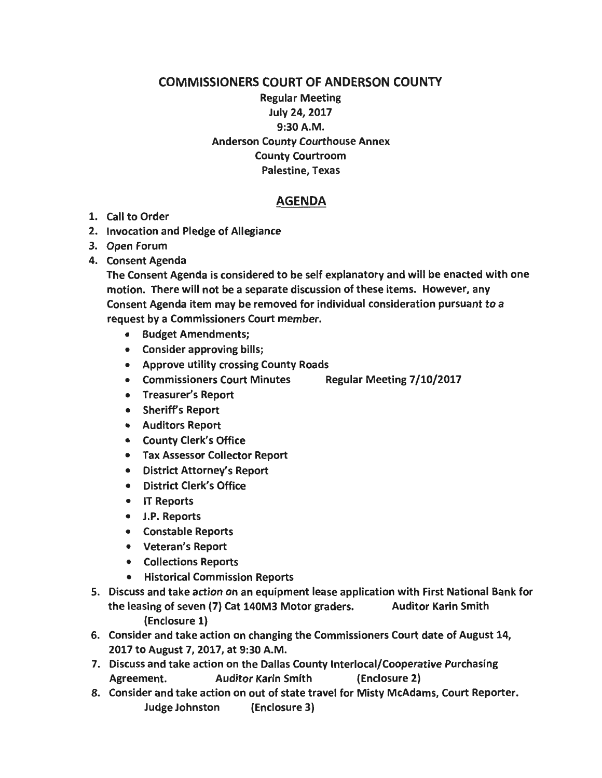## COMMISSIONERS COURT OF ANDERSON COUNTY

## Regular Meeting July 24, 2017 9:30A.M. Anderson County Courthouse Annex County Courtroom Palestine, Texas

## AGENDA

## 1. Call to Order

- 2. Invocation and Pledge of Allegiance
- 3. Open Forum
- 4. Consent Agenda

The Consent Agenda is considered to be self explanatory and will be enacted with one motion. There will not be a separate discussion of these items. However, any Consent Agenda item may be removed for individual consideration pursuant to a request by a Commissioners Court member.

- Budget Amendments;
- Consider approving bills;
- Approve utility crossing County Roads
- Commissioners Court Minutes Regular Meeting 7/10/2017
- Treasurer's Report
- Sheriff's Report
- Auditors Report
- County Clerk's Office
- Tax Assessor Collector Report
- District Attorney's Report
- District Clerk's Office
- IT Reports
- J.P. Reports
- Constable Reports
- Veteran's Report
- Collections Reports
- Historical Commission Reports
- 5. Discuss and take action on an equipment lease application with First National Bank for the leasing of seven (7) Cat 140M3 Motor graders. Auditor Karin Smith (Enclosure 1)
- 6. Consider and take action on changing the Commissioners Court date of August 14, 2017 to August 7, 2017, at 9:30 A.M.
- 7. Discuss and take action on the Dallas County lnterlocal/Cooperative Purchasing Agreement. Auditor Karin Smith (Enclosure 2)
- 8. Consider and take action on out of state travel for Misty McAdams, Court Reporter. Judge Johnston (Enclosure 3)